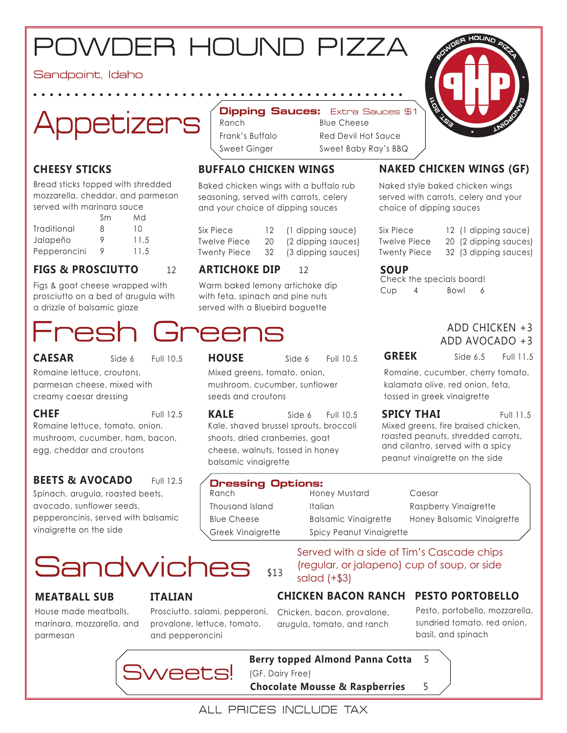## POWDER HOUND PIZZA

Sandpoint, Idaho



### **CHEESY STICKS**

Bread sticks topped with shredded mozzarella, cheddar, and parmesan served with marinara sauce

|              | Sm | Md   |
|--------------|----|------|
| Traditional  | 8  | 10   |
| Jalapeño     | 9  | 11.5 |
| Pepperoncini |    | 11.5 |

#### **FIGS & PROSCIUTTO** 12

Figs & goat cheese wrapped with prosciutto on a bed of arugula with a drizzle of balsamic glaze

**CAESAR** Side 6 Full 10.5

Romaine lettuce, croutons, parmesan cheese, mixed with creamy caesar dressing

Romaine lettuce, tomato, onion, mushroom, cucumber, ham, bacon, egg, cheddar and croutons **CHEF** Full 12.5

#### **BEETS & AVOCADO** Full 12.5

Spinach, arugula, roasted beets, avocado, sunflower seeds, pepperoncinis, served with balsamic vinaigrette on the side

### \$13 **Sandwiches**

#### **MEATBALL SUB**

House made meatballs, marinara, mozzarella, and parmesan

#### **ITALIAN**

Prosciutto, salami, pepperoni, provalone, lettuce, tomato, and pepperoncini

#### Dipping Sauces: Extra Sauces \$1

**Blue Cheese** Red Devil Hot Sauce Sweet Ginger Sweet Baby Ray's BBQ

### **BUFFALO CHICKEN WINGS**

Baked chicken wings with a buffalo rub seasoning, served with carrots, celery and your choice of dipping sauces

| Six Piece           | 12 | (1 dipping sauce)  |
|---------------------|----|--------------------|
| <b>Twelve Piece</b> | 20 | (2 dipping sauces) |
| <b>Twenty Piece</b> | 32 | (3 dipping sauces) |

#### **ARTICHOKE DIP** 12

Warm baked lemony artichoke dip with feta, spinach and pine nuts served with a Bluebird baguette

### Fresh Greens

Mixed greens, tomato, onion, mushroom, cucumber, sunflower seeds and croutons **HOUSE** Side 6 Full 10.5

**KALE** Side 6 Full 10.5 **SPICY THAI** Full 11.5 Kale, shaved brussel sprouts, broccoli shoots, dried cranberries, goat cheese, walnuts, tossed in honey balsamic vinaigrette

#### **Dressing Options:**

#### Ranch **Honey Mustard** Caesar Thousand Island Italian Italian Raspberry Vinaigrette Blue Cheese Balsamic Vinaigrette Honey Balsamic Vinaigrette Greek Vinaigrette Spicy Peanut Vinaigrette

Served with a side of Tim's Cascade chips (regular, or jalapeno) cup of soup, or side salad (+\$3)

#### **CHICKEN BACON RANCH PESTO PORTOBELLO**

Chicken, bacon, provalone, arugula, tomato, and ranch

#### Pesto, portobello, mozzarella, sundried tomato, red onion, basil, and spinach



(GF, Dairy Free) **Chocolate Mousse & Raspberries** 5

**Berry topped Almond Panna Cotta** 5



#### **NAKED CHICKEN WINGS (GF)**

Naked style baked chicken wings served with carrots, celery and your choice of dipping sauces

Six Piece 12 (1 dipping sauce)

- Twelve Piece 20 (2 dipping sauces)
- Twenty Piece 32 (3 dipping sauces)

#### **SOUP**

Check the specials board! Cup 4 Bowl 6

#### ADD CHICKEN +3 ADD AVOCADO +3

**GREEK** Side 6.5 Full 11.5

Romaine, cucumber, cherry tomato, kalamata olive, red onion, feta, tossed in greek vinaigrette

Mixed greens, fire braised chicken, roasted peanuts, shredded carrots, and cilantro, served with a spicy peanut vinaigrette on the side